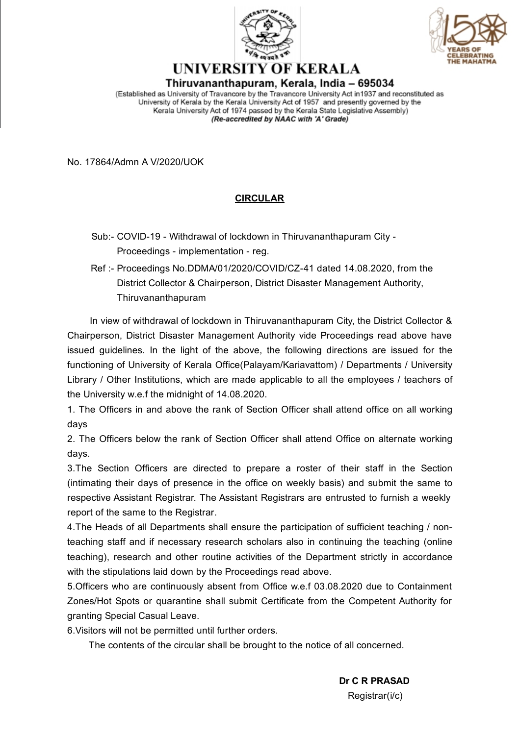



## UNIVERSITY OF KERALA Thiruvananthapuram, Kerala, India – 695034

(Established as University of Travancore by the Travancore University Act in 1937 and reconstituted as University of Kerala by the Kerala University Act of 1957 and presently governed by the Kerala University Act of 1974 passed by the Kerala State Legislative Assembly) (Re-accredited by NAAC with 'A' Grade)

No. 17864/Admn A V/2020/UOK

## **CIRCULAR**

- Sub:- COVID-19 Withdrawal of lockdown in Thiruvananthapuram City Proceedings - implementation - reg.
- Ref :- Proceedings No.DDMA/01/2020/COVID/CZ-41 dated 14.08.2020, from the District Collector & Chairperson, District Disaster Management Authority, Thiruvananthapuram

In view of withdrawal of lockdown in Thiruvananthapuram City, the District Collector & Chairperson, District Disaster Management Authority vide Proceedings read above have issued guidelines. In the light of the above, the following directions are issued for the functioning of University of Kerala Office(Palayam/Kariavattom) / Departments / University Library / Other Institutions, which are made applicable to all the employees / teachers of the University w.e.f the midnight of 14.08.2020.

1. The Officers in and above the rank of Section Officer shall attend office on all working days

2. The Officers below the rank of Section Officer shall attend Office on alternate working days.

3.The Section Officers are directed to prepare a roster of their staff in the Section (intimating their days of presence in the office on weekly basis) and submit the same to respective Assistant Registrar. The Assistant Registrars are entrusted to furnish a weekly report of the same to the Registrar.

4.The Heads of all Departments shall ensure the participation of sufficient teaching / nonteaching staff and if necessary research scholars also in continuing the teaching (online teaching), research and other routine activities of the Department strictly in accordance with the stipulations laid down by the Proceedings read above.

5.Officers who are continuously absent from Office w.e.f 03.08.2020 due to Containment Zones/Hot Spots or quarantine shall submit Certificate from the Competent Authority for granting Special Casual Leave.

6.Visitors will not be permitted until further orders.

The contents of the circular shall be brought to the notice of all concerned.

**Dr C R PRASAD** Registrar(i/c)